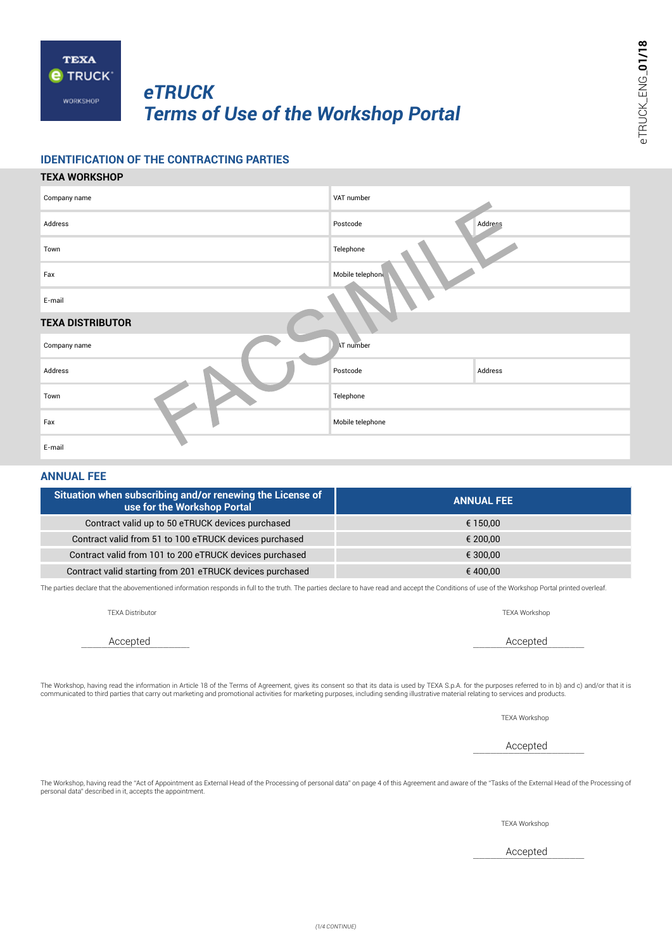

# *eTRUCK Terms of Use of the Workshop Portal*

## **IDENTIFICATION OF THE CONTRACTING PARTIES**

## **TEXA WORKSHOP**

| Company name            | VAT number          |  |  |
|-------------------------|---------------------|--|--|
| Address                 | Address<br>Postcode |  |  |
| Town                    | Telephone           |  |  |
| Fax                     | Mobile telephone    |  |  |
| E-mail                  |                     |  |  |
| <b>TEXA DISTRIBUTOR</b> |                     |  |  |
| Company name            | <b>AT number</b>    |  |  |
| Address                 | Address<br>Postcode |  |  |
| Town                    | Telephone           |  |  |
| Fax                     | Mobile telephone    |  |  |
| E-mail                  |                     |  |  |

## **ANNUAL FEE**

| Situation when subscribing and/or renewing the License of<br>use for the Workshop Portal | <b>ANNUAL FEE</b> |
|------------------------------------------------------------------------------------------|-------------------|
| Contract valid up to 50 eTRUCK devices purchased                                         | € 150.00          |
| Contract valid from 51 to 100 eTRUCK devices purchased                                   | € 200.00          |
| Contract valid from 101 to 200 eTRUCK devices purchased                                  | € 300.00          |
| Contract valid starting from 201 eTRUCK devices purchased                                | € 400.00          |

The parties declare that the abovementioned information responds in full to the truth. The parties declare to have read and accept the Conditions of use of the Workshop Portal printed overleaf.

| Accepted                                                                                                                                                                                                                                                                                                                                                                                         | Accepted |
|--------------------------------------------------------------------------------------------------------------------------------------------------------------------------------------------------------------------------------------------------------------------------------------------------------------------------------------------------------------------------------------------------|----------|
| The Workshop, having read the information in Article 18 of the Terms of Agreement, gives its consent so that its data is used by TEXA S.p.A. for the purposes referred to in b) and c) and/or that it is<br>communicated to third parties that carry out marketing and promotional activities for marketing purposes, including sending illustrative material relating to services and products. |          |

TEXA Workshop

\_\_\_\_\_\_\_\_\_\_\_\_\_\_\_\_\_\_\_\_\_\_\_\_\_\_\_\_\_\_\_\_\_\_\_\_\_\_ Accepted

The Workshop, having read the "Act of Appointment as External Head of the Processing of personal data" on page 4 of this Agreement and aware of the "Tasks of the External Head of the Processing of<br>personal data" described

TEXA Workshop

\_\_\_\_\_\_\_\_\_\_\_\_\_\_\_\_\_\_\_\_\_\_\_\_\_\_\_\_\_\_\_\_\_\_\_\_\_\_ Accepted

TEXA Distributor TEXA Workshop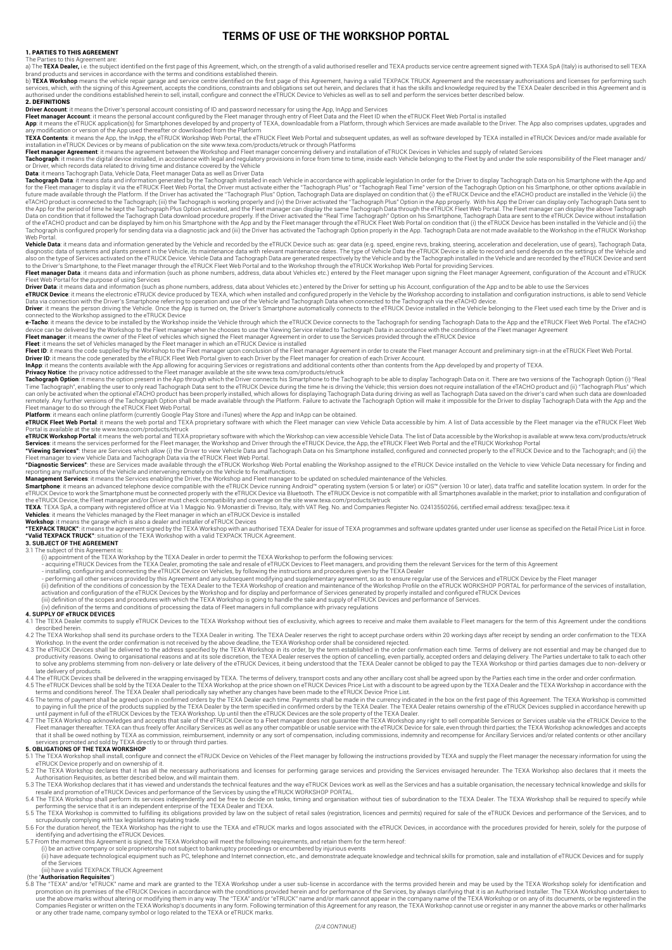## **TERMS OF USE OF THE WORKSHOP PORTAL**

#### 1. PARTIES TO THIS AGREEMENT

The Parties to this Agreement are:<br>a) The **TEXA Dealer,** i.e. the subject identified on the first page of this Agreement, which, on the strength of a valid authorised reseller and TEXA products service centre agreement sig

brand products and services in accordance with the terms and conditions established therein.<br>b) **TEXA Workshop** means the vehicle repair garage and service centre identified on the first page of this Agreement, having a va services, which, with the signing of this Agreement, accepts the conditions, constraints and obligations set out herein, and declares that it has the skills and knowledge required by the TEXA Dealer described in this Agree 2. DEFINITIONS

**Driver Account**: it means the Driver's personal account consisting of ID and password necessary for using the App, InApp and Services<br>**Fleet manager Account**: it means the personal account configured by the Fleet manger t TEXA Contents: it means the App uses when the FRIICK Workshop Web Portal the FTRIICK Fleet Web Portal and subsequent undates as well as software developed by TEXA installed in eTRIICK Devices and/or made available for

installation in eTRUCK Devices or by means of publication on the site www.texa.com/products/etruck or through Platforms<br>**Fleet manager Agreemen**t: it means the agreement between the Workshop and Fielt manager concerning de

**Dac**hi means Tachograph Data, Uehicle Data, Fleet manager Data hela, Fleet manager Data on His Smatthene with the App and<br>Tachograph Data: it means data and information generated by the Tachograph installed in each Vehicl Tachograph is configured properly for sending data via a diagnostic jack and (iii) the Driver has activated the Tachograph Option properly in the App. Tachograph Data are not made available to the Workshop in the eTRUCK Wo

**Vehicle Data**: it means data and information generated by the Vehicle and recorded by the eTRUCK Device. and specified and the endate and proportional deceleration and deceleration, use of gens), Tachograph Data, are disp

Fleet Web Portal for the purpose of using Services<br>**Driver Data** it means data information (such as phone numbers, address, data about Vehicles etc.) entered by the Driver for setting up his Account, configuration of the A

Driver: it means the person driving the Vehicle. Once the App is turned on, the Driver's Smartphone automatically connects to the eTRUCK Device installed in the Vehicle belonging to the Fleet used each time by the Driver a

connected to the Workshop assigned to the eTRUCK Device<br>**e-Tacho**: it means the device to be installed by the Workshop inside the Vehicle through which the eTRUCK Device connects to the Tachograph for sending Tachograph Da

**Fleet manager**. it means the owner of the Fleet of vehicles which signed the Fleet manager Agreement in order to use the Services provided through the eTRUCK Device<br>**Fleet** 1D: it means the code generated by the Workshop

Privacy Notice: the privacy notice addressed to the Fleet manager available at the site www.texa.com/products/etruck<br>Tachograph Option: it means the option present in the App through which the Direct connects his Smartphon remotely. Any further versions of the Tachograph Option shall be made available through the Platform. Failure to activate the Tachograph Option will make it impossible for the Driver to display Tachograph Data with the App

eTRUCK Fleet Web Portal: it means the web portal and TEXA proprietary software with which the Fleet manager can view Vehicle Data accessible by him. A list of Data accessible by the Fleet manager via the eTRUCK Fleet Web

Portal is available at the site www.texa.com/products/etruck<br>**eTRUCK Workshop Portal**: it means the web portal and TEXA proprietary software with which the Workshop can view accessible Vehicle Data. The list of Data access

Fleat manager to view Vehicle Data and Tachograph Data via e FRUCK Fleet Web Portal<br>Phagmostic Services "these are Services made available through the FRUCK Workshop Web Portal enabling the Workshop assigned to the eTRUCK

3.1 The subject of this Agreement is:<br>(i) appointmen of the TEXA Dealer, promoting the sale and resale of eTRUCK Devices to Fleet managers, and providing them the relevant Services for the term of this Agreement<br>- acquirin

## (iii) definition of the scopes and procedures with which the TEXA Workshop is going to handle the sale and supply of eTRUCK Devices and performance of Services.<br>(iv) definition of the terms and conditions of processing the

### **4. SUPPLY OF eTRUCK DEVICES**

4.1 The TEXA Dealer commits to supply eTRUCK Devices to the TEXA Workshop without ties of exclusivity, which agrees to receive and make them available to Fleet managers for the term of this Agreement under the conditions described herein.

4.2 The TEXA Workshop shall send its purchase orders to the TEXA Dealer in writing. The TEXA Dealer reserves the right to accept purchase orders within 20 working days after receipt by sending an order confirmation to the

productivity reasons. Owing to organisational reasons and at its sole discretion, the TEXA Dealer reserves the option of cancelling, even partially, accepted orders and delaying delivery. The Parties undertake to talk to e to solve any problems stemming from non-delivery or late delivery of the eTRUCK Devices, it being understood that the TEXA Dealer cannot be obliged to pay the TEXA Workshop or third parties damages due to non-delivery or<br>l

4.5 The eTRUCK Devices shall be sold by the TEXA Dealer to the Tube and condance with the aread upon by the TEXA Dealer and the TEXA Workshop in accordance with the expansive of the TEXA Dealer to the grand confirmed order

4.7 The TEXA Workshop acknowledges and accepts that sale of the eTRUCK Device to a Fleet manager thereafter. TEXA can thus freely offer Ancillary Services as well as any other compatible or usable service with the eTRA RUC

5.1 The TEXA Workshop shall install, configure and connect the eTRUCK Device on Vehicles of the Fleet manager by following the instructions provided by TEXA and supply the Fleet manager the necessary information for using

5.2 The TEXA Workshop declares that it has all the necessary authorisations and licenses for performing garage services and providing the Services envisaged hereunder. The TEXA Workshop also declares that it meets the the

performing the service that it is an independent enterprise of the TEXA Dealer and TEXA.<br>5.5 The TEXA Workshop is committed to fulfilling its obligations provided by law on the subject of retail sales (registration, licenc 5.6 For the duration hereof, the TEXA Workshop has the right to use the TEXA and eTRUCK marks and logos associated with the eTRUCK Devices, in accordance with the procedures provided for herein, solely for the purpose of

identifying and advertising the eTRUCK Devices.

5.7 From the moment this Agreement is signed, the TEXA Workshop will meet the following requirements, and retain them for the term hereof:<br>(i) be an active company or sole proprietorship not subject to bankruptcy proceedin of the Services (iii) have a valid TEXPACK TRUCK Agreement

(the "**Authorisation Requisites**")<br>5.8 The "TEXA" and/or "eTRUCK" name and mark are granted to the TEXA Workshop under a user sub-license in accordance with the terms provided herein and may be used by the TEXA Workshop so promotion on its premises of the eTRUCK Devices in accordance with the conditions provided herein and for performance of the Services, by always clarifying that it is an Authorised Installer. The TEXA Workshop undertakes t or any other trade name, company symbol or logo related to the TEXA or eTRUCK marks.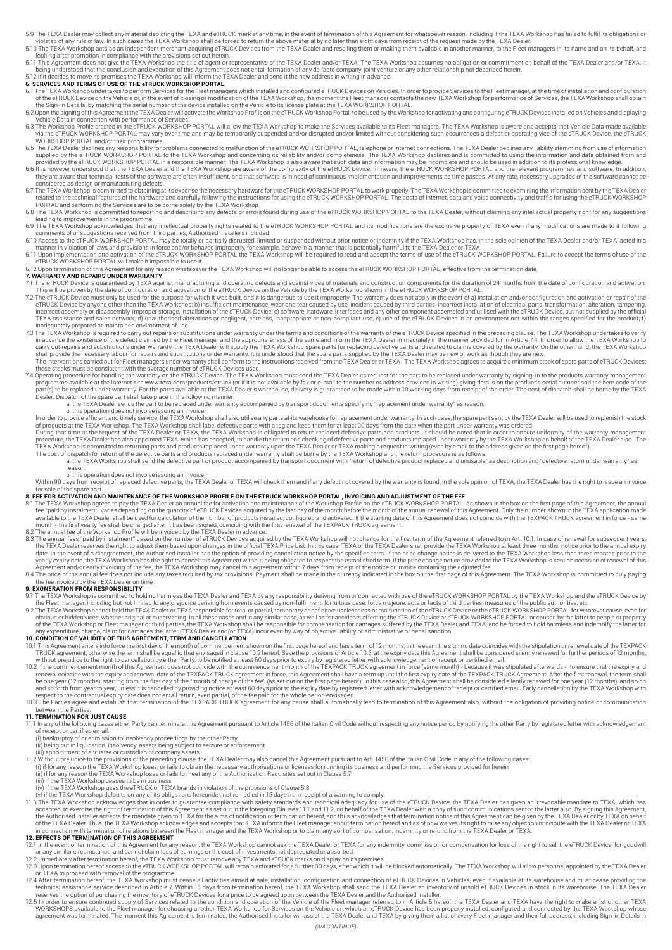5.9 The TEXA Dealer may collect any material depicting the TEXA and eTRUCK mark at any time, in the event of termination of this Agreement for whatsoever reason, including if the TEXA Workshop has failed to fulfil its obli

- looking after promotion in compliance with the provisions set out herein.
- 5.11 This Agreement does not give the TEXA Workshop the title of agent or representative of the TEXA Dealer and/or TEXA. The TEXA Workshop assumes no obligation or commitment on behalf of the TEXA Dealer and/or TEXA, it<br>be 5.12 If it decides to move its premises the TEXA Workshop will inform the TEXA Dealer and send it the new address in writing in advance.

### **6. SERVICES AND TERMS OF USE OF THE eTRUCK WORKSHOP PORTAL**

- 6.1 The TEXA Workshop undertakes to perform Services for the Fleet managers which installed and configured eTRUCK Devices on Vehicles. In order to provide Services to the Fleet manager, at the time of installation and conf
- 6.2 Upon the signing of this Agreement the TEXA Dealer will activate the Workshop Profile on the eTRUCK Workshop Portal, to be used by the Workshop for activating and configuring eTRUCK Devices installed on Vehicles and di
- 
- WORKSHOP PORTAL and/or their programmes.<br>STHE TEXA WORKSHOP PORTAL the TEXA Workshop and concerning its reliability and/or completeness. The TEXA Workshop declares and is committed to using the information and data obtaine
- 
- 
- PORTAL and performing the Services are to be borne solely by the TEXA Workshop.<br>6.8 The TEXA Workshop is committed to reporting and describing any defects or errors found during use of the eTRUCK WORKSHOP PORTAL to the TEX
- leading to improvements in the programme.<br>The TENGK WORKSHOP PORTAL and its modifications are the exclusive property of TEXA even if any modifications are made to it following<br>- The TEXA Workshop acknowledges that any inte
- 
- 
- eTRUCK WORKSHOP PORTAL will make it impossible to use it.<br>6.12 Upon termination of this Agreement for any reason whatsoever the TEXA Workshop will no longer be able to access the eTRUCK WORKSHOP PORTAL, effective from the

- 
- 7.1 The eTRUCK Device is guaranteed by TEXA against manufacturing and operating defects and against vices of materials and construction components for the duration of 24 months from the date of configuration and activation
- inadequately prepared or maintained environment of use.<br>T.3 The TEXA Workshop is required to carry out repairs or substitutions under warranty under the terms and conditions of the warranty of the eTRUCK Device specified i in advance the existence of the defect claimed by the Fleet manager and the appropriatenes of the same and inform the TEXA Workshop to carry out repairs and substitutions under warranty, the TEXA Workshop to carry out repa
- 
- 4 Operating procedure for handling the warranty on the eTRUCK Device. The TEXA Workshop must send the TEXA Dealer its request for the part to be replaced under warranty by signing-in to the products warranty management, p Dealer. Dispatch of the spare part shall take place in the following manner:<br>a. the TEXA Dealer sends the part to be replaced under warranty accompanied by transport documents specifying "replacement under warranty" as rea
	-

b. this operation does not involve issuing an invoice<br>In order to provide efficient and timely service, the TEXA Workshop shall also utilise any parts at its warehouse for replacement under warranty. In such case, the spar

During that time at the request of the TEXA Dealer or TEXA, the TEXA Workshop is obligated to return replaced defective parts and products. It should be noted that in order to ensure uniformity of the warranty management<br>p

a. the TEXA Workshop shall send the defective part or product accompanied by transport document with "return of defective product replaced and unusable" as description and "defective return under warranty" as

## reason. b. this operation does not involve issuing an invoice

Within 90 days from receipt of replaced defective parts, the TEXA Dealer or TEXA will check them and if any defect not covered by the warranty is found, in the sole opinion of TEXA. He TEXA Dealer has the right to issue an for sale of the spare part.

#### **8. FEE FOR ACTIVATION AND MAINTENANCE OF THE WORKSHOP PROFILE ON THE ETRUCK WORKSHOP PORTAL, INVOICING AND ADJUSTMENT OF THE FEE**

- 8.1 The TEXA Workshop agrees to pay the TEXA Dealer an annual fee for activation and maintenance of the Workshop Profile on the eTRUCK WORKSHOP PORTAL. As shown in the box on the first page of this Agreement, the annual fe available to the TEXA Dealer shall be used for calculation of the number of products installed, configured and activated. If the starting date of this Agreement does not coincide with the TEXPACK TRUCK agreement in force -
- - the TEXA Dealer reserves the right to adjust them based upon changes in the official TEXA Price List. In this case, TEXA or the TEXA Dealer shall provide the TEXA Workshop at least three months' notice prior to the annual
	- 8.4 The price of the annual fee does not include any taxes required by tax provisions. Payment shall be made in the currency indicated in the box on the first page of this Agreement. The TEXA Workshop is committed to duly The price of the annual ree does not molded.

### **9. EXONERATION FROM RESPONSIBILITY**

- 9.1 The TEXA Workshop is committed to holding harmless the TEXA Dealer and TEXA by any responsibility deriving from or connected with use of the eTRUCK WORKSHOP PORTAL by the TEXA Workshop and the eTRUCK Device by
- the Fleet manager, including but not limited to any prejudice deriving from events caused by non-fulfilment, fortuitous case, force majeure, acts or facts of this relation, the TEXA Dealer or TEXA responsible for total or

- 
- 10. CONDITION OF VALIDITY OF THIS AGREEMENT, TERM AND CANNELLATION TO WELLATION OF WELLATION OF WELLATION OF WELLATION OF THIS AGREEMENT OF THIS ARE AND THIS AGREEMENT OF THIS AGREEMENT OF THIS AGREEMENT OF THIS AGREEMENT
- respect to the contractual expiry date does not entail return, even partial, of the fee paid for the whole period envisaged.<br>10.3 The Parties agree and establish that termination of the TEXPACK TRUCK agreement for any caus

#### **11. TERMINATION FOR JUST CAUSE**

11.1 In any of the following cases either Party can terminate this Agreement pursuant to Article 1456 of the Italian Civil Code without respecting any notice period by notifying the other Party by registered letter with ac

- 
- 
- ii) being put in liquidation, insolvency, assets being subject to seizure or enforcement<br>11.2 Without prejudice to the provisions of the preceding clause, the TEXA Dealer may also cancel this Agreement pursuant to Art. 145
- 

- (iii) if the TEXA Workshop ceases to be in business<br>(iv) if the TEXA Workshop uses the eTRUCK or TEXA brands in violation of the provisions of Clause 5.8<br>(v) if the TEXA Workshop defaults on any of its obligations hereunde
- 11.3 The TEXA Workshop acknowledges that in order to guarantee compliance with safety standards and technical adequacy for use of the eTEXA Dealer has given an irrevocable mandate to TEXA, which has a The TEXA Dealer with

#### **12. EFFECTS OF TERMINATION OF THIS AGREEMENT**

- 12.1 In the event of termination of this Agreement for any reason, the TEXA Workshop cannot ask the TEXA Dealer or TEXA for any indemnity, commission or compensation for loss of the right to sell the eTRUCK Device, for goo
- 
- 12.3 Upon termination hereof access to the eTRUCK WORKSHOP PORTAL will remain activated for a further 30 days, after which it will be blocked automatically. The TEXA Workshop will allow personnel appointed by the TEXA Deal
- referent in a sistance service described in Article 7. Within 15 days from termination hereof, the TEXA Workshop shall send the TEXA Dealer an inventory of unsold eTRUCK Devices in stock in its warehouse. The TEXA Dealer a
- reserves the option of purchasing the inventory of eTRUCK Devices for a price to be agreed upon between the TEXA Dealer and the Authorised Installer.<br>12.5 In order to research on the Velophy of Scribter Peter Manager for c